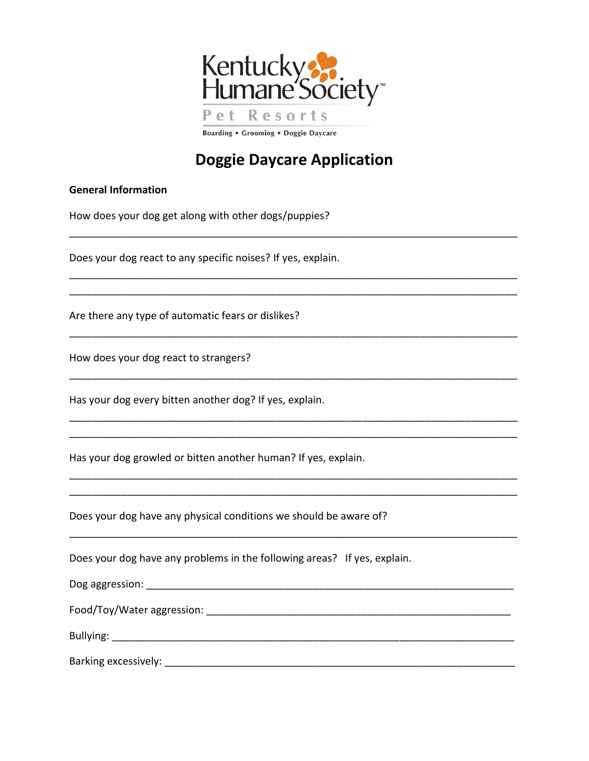

## **Doggie Daycare Application**

\_\_\_\_\_\_\_\_\_\_\_\_\_\_\_\_\_\_\_\_\_\_\_\_\_\_\_\_\_\_\_\_\_\_\_\_\_\_\_\_\_\_\_\_\_\_\_\_\_\_\_\_\_\_\_\_\_\_\_\_\_\_\_\_\_\_\_\_\_\_\_\_\_\_\_\_\_\_

\_\_\_\_\_\_\_\_\_\_\_\_\_\_\_\_\_\_\_\_\_\_\_\_\_\_\_\_\_\_\_\_\_\_\_\_\_\_\_\_\_\_\_\_\_\_\_\_\_\_\_\_\_\_\_\_\_\_\_\_\_\_\_\_\_\_\_\_\_\_\_\_\_\_\_\_\_\_

\_\_\_\_\_\_\_\_\_\_\_\_\_\_\_\_\_\_\_\_\_\_\_\_\_\_\_\_\_\_\_\_\_\_\_\_\_\_\_\_\_\_\_\_\_\_\_\_\_\_\_\_\_\_\_\_\_\_\_\_\_\_\_\_\_\_\_\_\_\_\_\_\_\_\_\_\_\_

\_\_\_\_\_\_\_\_\_\_\_\_\_\_\_\_\_\_\_\_\_\_\_\_\_\_\_\_\_\_\_\_\_\_\_\_\_\_\_\_\_\_\_\_\_\_\_\_\_\_\_\_\_\_\_\_\_\_\_\_\_\_\_\_\_\_\_\_\_\_\_\_\_\_\_\_\_\_

\_\_\_\_\_\_\_\_\_\_\_\_\_\_\_\_\_\_\_\_\_\_\_\_\_\_\_\_\_\_\_\_\_\_\_\_\_\_\_\_\_\_\_\_\_\_\_\_\_\_\_\_\_\_\_\_\_\_\_\_\_\_\_\_\_\_\_\_\_\_\_\_\_\_\_\_\_\_

\_\_\_\_\_\_\_\_\_\_\_\_\_\_\_\_\_\_\_\_\_\_\_\_\_\_\_\_\_\_\_\_\_\_\_\_\_\_\_\_\_\_\_\_\_\_\_\_\_\_\_\_\_\_\_\_\_\_\_\_\_\_\_\_\_\_\_\_\_\_\_\_\_\_\_\_\_\_ \_\_\_\_\_\_\_\_\_\_\_\_\_\_\_\_\_\_\_\_\_\_\_\_\_\_\_\_\_\_\_\_\_\_\_\_\_\_\_\_\_\_\_\_\_\_\_\_\_\_\_\_\_\_\_\_\_\_\_\_\_\_\_\_\_\_\_\_\_\_\_\_\_\_\_\_\_\_

\_\_\_\_\_\_\_\_\_\_\_\_\_\_\_\_\_\_\_\_\_\_\_\_\_\_\_\_\_\_\_\_\_\_\_\_\_\_\_\_\_\_\_\_\_\_\_\_\_\_\_\_\_\_\_\_\_\_\_\_\_\_\_\_\_\_\_\_\_\_\_\_\_\_\_\_\_\_

## **General Information**

How does your dog get along with other dogs/puppies?

Does your dog react to any specific noises? If yes, explain.

Are there any type of automatic fears or dislikes?

How does your dog react to strangers?

Has your dog every bitten another dog? If yes, explain.

Has your dog growled or bitten another human? If yes, explain.

Does your dog have any physical conditions we should be aware of?

Does your dog have any problems in the following areas? If yes, explain.

| Dog aggression:            |  |  |
|----------------------------|--|--|
| Food/Toy/Water aggression: |  |  |
| Bullying:                  |  |  |

Barking excessively: \_\_\_\_\_\_\_\_\_\_\_\_\_\_\_\_\_\_\_\_\_\_\_\_\_\_\_\_\_\_\_\_\_\_\_\_\_\_\_\_\_\_\_\_\_\_\_\_\_\_\_\_\_\_\_\_\_\_\_\_\_